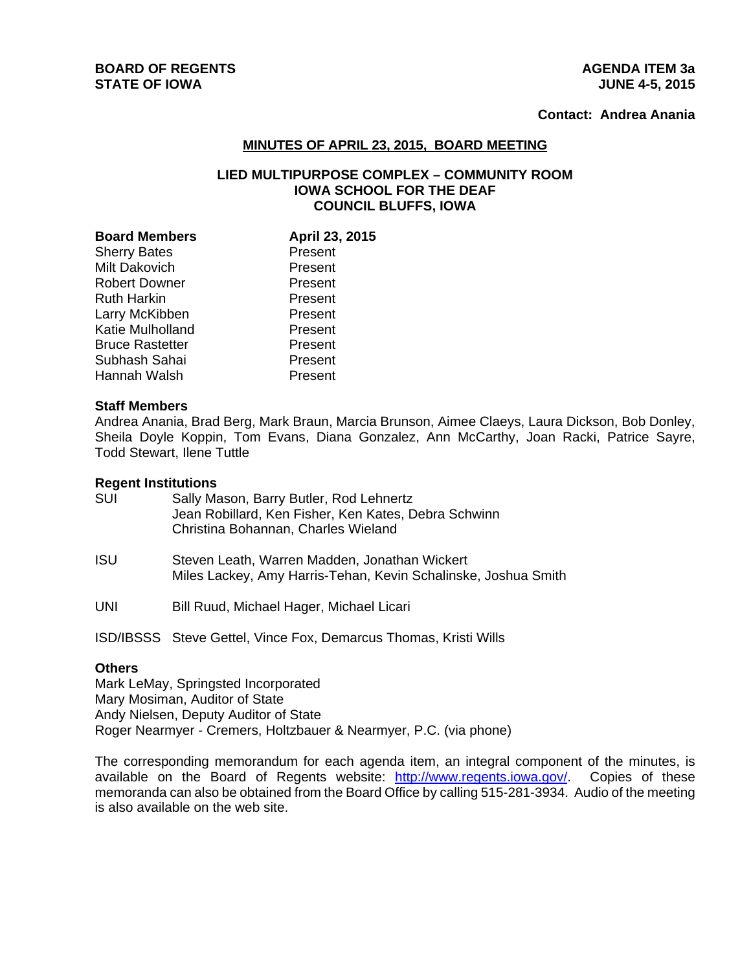# **Contact: Andrea Anania**

### **MINUTES OF APRIL 23, 2015, BOARD MEETING**

## **LIED MULTIPURPOSE COMPLEX – COMMUNITY ROOM IOWA SCHOOL FOR THE DEAF COUNCIL BLUFFS, IOWA**

| <b>Board Members</b>   | April 23, 2015 |
|------------------------|----------------|
| <b>Sherry Bates</b>    | Present        |
| <b>Milt Dakovich</b>   | Present        |
| <b>Robert Downer</b>   | Present        |
| <b>Ruth Harkin</b>     | Present        |
| Larry McKibben         | Present        |
| Katie Mulholland       | Present        |
| <b>Bruce Rastetter</b> | Present        |
| Subhash Sahai          | Present        |
| Hannah Walsh           | Present        |

#### **Staff Members**

Andrea Anania, Brad Berg, Mark Braun, Marcia Brunson, Aimee Claeys, Laura Dickson, Bob Donley, Sheila Doyle Koppin, Tom Evans, Diana Gonzalez, Ann McCarthy, Joan Racki, Patrice Sayre, Todd Stewart, Ilene Tuttle

#### **Regent Institutions**

| SUI | Sally Mason, Barry Butler, Rod Lehnertz<br>Jean Robillard, Ken Fisher, Ken Kates, Debra Schwinn<br>Christina Bohannan, Charles Wieland |
|-----|----------------------------------------------------------------------------------------------------------------------------------------|
| ISU | Steven Leath, Warren Madden, Jonathan Wickert<br>Miles Lackey, Amy Harris-Tehan, Kevin Schalinske, Joshua Smith                        |

UNI Bill Ruud, Michael Hager, Michael Licari

ISD/IBSSS Steve Gettel, Vince Fox, Demarcus Thomas, Kristi Wills

### **Others**

Mark LeMay, Springsted Incorporated Mary Mosiman, Auditor of State Andy Nielsen, Deputy Auditor of State Roger Nearmyer - Cremers, Holtzbauer & Nearmyer, P.C. (via phone)

The corresponding memorandum for each agenda item, an integral component of the minutes, is available on the Board of Regents website: http://www.regents.iowa.gov/. Copies of these memoranda can also be obtained from the Board Office by calling 515-281-3934. Audio of the meeting is also available on the web site.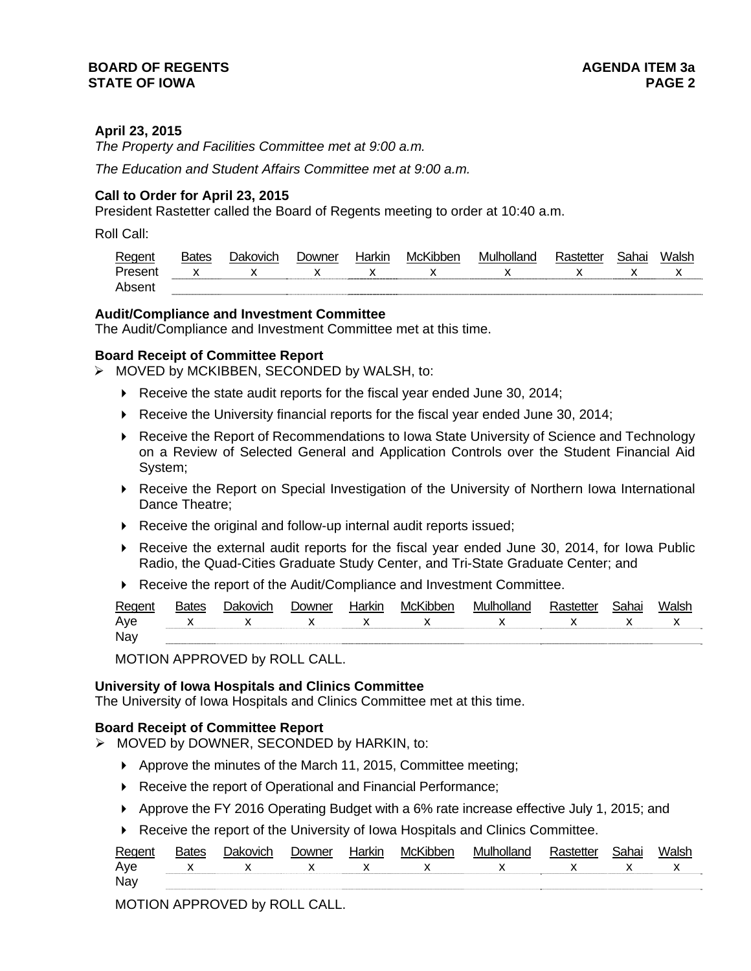#### **BOARD OF REGENTS AGENER AGENERAL LIMIT CONTROL STATE OF IOWA PAGE 2**

## **April 23, 2015**

*The Property and Facilities Committee met at 9:00 a.m.* 

*The Education and Student Affairs Committee met at 9:00 a.m.* 

## **Call to Order for April 23, 2015**

President Rastetter called the Board of Regents meeting to order at 10:40 a.m.

Roll Call:

| Regent  | <b>Bates</b> | Jakovich     | Jowner | Harkin | McKibben | Mulholland | Rastetter | Sahai | Walsł |
|---------|--------------|--------------|--------|--------|----------|------------|-----------|-------|-------|
| Present | x            | $\checkmark$ |        | ↗      |          |            |           |       |       |
| Absen   |              |              |        |        |          |            |           |       |       |

### **Audit/Compliance and Investment Committee**

The Audit/Compliance and Investment Committee met at this time.

#### **Board Receipt of Committee Report**

> MOVED by MCKIBBEN, SECONDED by WALSH, to:

- Receive the state audit reports for the fiscal year ended June 30, 2014;
- $\blacktriangleright$  Receive the University financial reports for the fiscal year ended June 30, 2014;
- ▶ Receive the Report of Recommendations to Iowa State University of Science and Technology on a Review of Selected General and Application Controls over the Student Financial Aid System;
- ▶ Receive the Report on Special Investigation of the University of Northern Iowa International Dance Theatre;
- ▶ Receive the original and follow-up internal audit reports issued;
- Receive the external audit reports for the fiscal year ended June 30, 2014, for Iowa Public Radio, the Quad-Cities Graduate Study Center, and Tri-State Graduate Center; and
- ▶ Receive the report of the Audit/Compliance and Investment Committee.

| Regent | 3ates | Jakovich      | <b>Downer</b> | Harkir | McKibber | Mulholland | Rastette | วิahai <sub>-</sub> | Walsł |
|--------|-------|---------------|---------------|--------|----------|------------|----------|---------------------|-------|
| Aye    |       | $X$ x $X$ $X$ |               |        |          | x x x x    |          |                     |       |
| Nay    |       |               |               |        |          |            |          |                     |       |

MOTION APPROVED by ROLL CALL.

#### **University of Iowa Hospitals and Clinics Committee**

The University of Iowa Hospitals and Clinics Committee met at this time.

#### **Board Receipt of Committee Report**

- $\triangleright$  MOVED by DOWNER, SECONDED by HARKIN, to:
	- Approve the minutes of the March 11, 2015, Committee meeting;
	- ▶ Receive the report of Operational and Financial Performance;
	- Approve the FY 2016 Operating Budget with a 6% rate increase effective July 1, 2015; and
	- Receive the report of the University of Iowa Hospitals and Clinics Committee.

| Regen | ומו | า∩wn≏r | larkır | MCI | ---<br>ייו וו/ה |   |     |
|-------|-----|--------|--------|-----|-----------------|---|-----|
| Ave   |     |        |        |     |                 | x | . . |
| Nay   |     |        |        |     |                 |   |     |

MOTION APPROVED by ROLL CALL.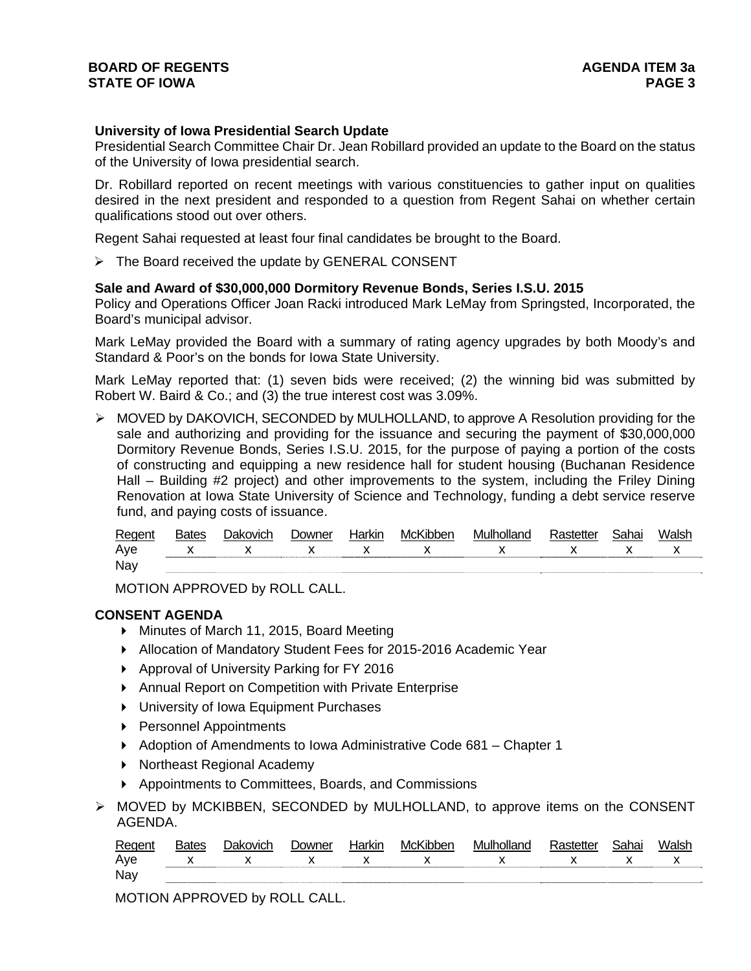### **BOARD OF REGENTS AGENER AGENERAL LIMIT CONTROL STATE OF IOWA** PAGE 3

## **University of Iowa Presidential Search Update**

Presidential Search Committee Chair Dr. Jean Robillard provided an update to the Board on the status of the University of Iowa presidential search.

Dr. Robillard reported on recent meetings with various constituencies to gather input on qualities desired in the next president and responded to a question from Regent Sahai on whether certain qualifications stood out over others.

Regent Sahai requested at least four final candidates be brought to the Board.

 $\triangleright$  The Board received the update by GENERAL CONSENT

#### **Sale and Award of \$30,000,000 Dormitory Revenue Bonds, Series I.S.U. 2015**

Policy and Operations Officer Joan Racki introduced Mark LeMay from Springsted, Incorporated, the Board's municipal advisor.

Mark LeMay provided the Board with a summary of rating agency upgrades by both Moody's and Standard & Poor's on the bonds for Iowa State University.

Mark LeMay reported that: (1) seven bids were received; (2) the winning bid was submitted by Robert W. Baird & Co.; and (3) the true interest cost was 3.09%.

 MOVED by DAKOVICH, SECONDED by MULHOLLAND, to approve A Resolution providing for the sale and authorizing and providing for the issuance and securing the payment of \$30,000,000 Dormitory Revenue Bonds, Series I.S.U. 2015, for the purpose of paying a portion of the costs of constructing and equipping a new residence hall for student housing (Buchanan Residence Hall – Building #2 project) and other improvements to the system, including the Friley Dining Renovation at Iowa State University of Science and Technology, funding a debt service reserve fund, and paying costs of issuance.

| Regent | <b>Bates</b> | much<br>ורו | <b>JOM/DAL</b> | $\lnot$ or $\lnot$ or $\lnot$<br>NI | MCK | M | 71 I.A |  |
|--------|--------------|-------------|----------------|-------------------------------------|-----|---|--------|--|
| Aye    |              |             | . .            | ⋏                                   |     |   |        |  |
| Nay    |              |             |                |                                     |     |   |        |  |

MOTION APPROVED by ROLL CALL.

### **CONSENT AGENDA**

- ▶ Minutes of March 11, 2015, Board Meeting
- Allocation of Mandatory Student Fees for 2015-2016 Academic Year
- ▶ Approval of University Parking for FY 2016
- Annual Report on Competition with Private Enterprise
- ▶ University of Iowa Equipment Purchases
- ▶ Personnel Appointments
- ▶ Adoption of Amendments to Iowa Administrative Code 681 Chapter 1
- ▶ Northeast Regional Academy
- ▶ Appointments to Committees, Boards, and Commissions
- $\triangleright$  MOVED by MCKIBBEN, SECONDED by MULHOLLAND, to approve items on the CONSENT AGENDA.

| -<br>RAMAM |  | 1000<br>w | <b>112</b><br>ЛI | …MC" | $ -$ |  |  |
|------------|--|-----------|------------------|------|------|--|--|
| Aye        |  |           |                  |      |      |  |  |
| Nay        |  |           |                  |      |      |  |  |

MOTION APPROVED by ROLL CALL.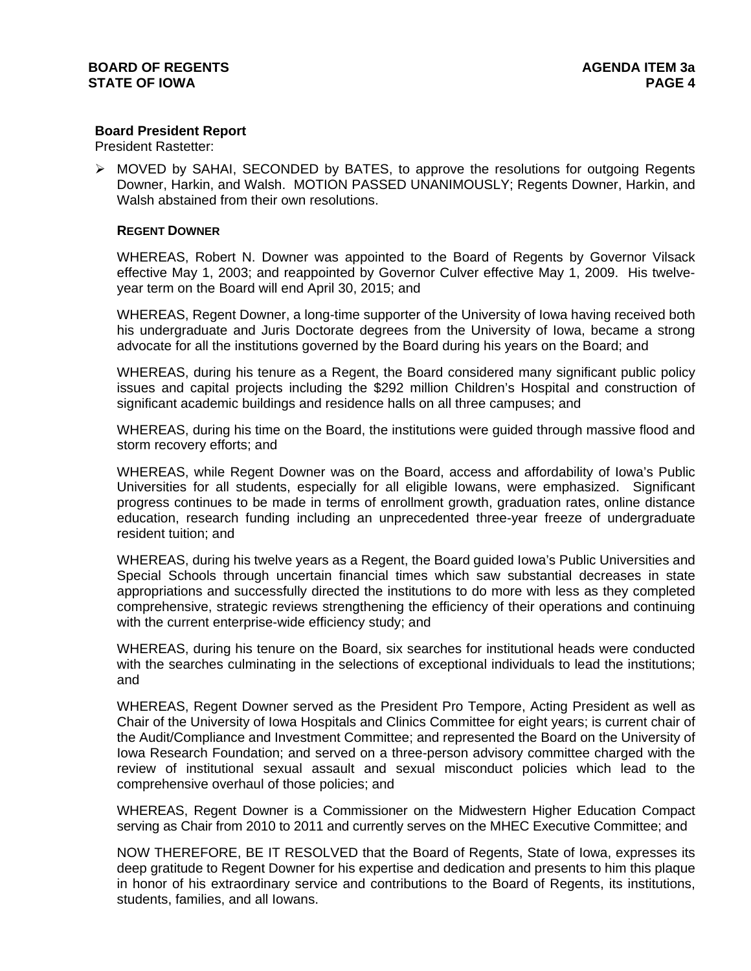## **Board President Report**

President Rastetter:

 $\triangleright$  MOVED by SAHAI, SECONDED by BATES, to approve the resolutions for outgoing Regents Downer, Harkin, and Walsh. MOTION PASSED UNANIMOUSLY; Regents Downer, Harkin, and Walsh abstained from their own resolutions.

#### **REGENT DOWNER**

WHEREAS, Robert N. Downer was appointed to the Board of Regents by Governor Vilsack effective May 1, 2003; and reappointed by Governor Culver effective May 1, 2009. His twelveyear term on the Board will end April 30, 2015; and

WHEREAS, Regent Downer, a long-time supporter of the University of Iowa having received both his undergraduate and Juris Doctorate degrees from the University of Iowa, became a strong advocate for all the institutions governed by the Board during his years on the Board; and

WHEREAS, during his tenure as a Regent, the Board considered many significant public policy issues and capital projects including the \$292 million Children's Hospital and construction of significant academic buildings and residence halls on all three campuses; and

WHEREAS, during his time on the Board, the institutions were guided through massive flood and storm recovery efforts; and

WHEREAS, while Regent Downer was on the Board, access and affordability of Iowa's Public Universities for all students, especially for all eligible Iowans, were emphasized. Significant progress continues to be made in terms of enrollment growth, graduation rates, online distance education, research funding including an unprecedented three-year freeze of undergraduate resident tuition; and

WHEREAS, during his twelve years as a Regent, the Board guided Iowa's Public Universities and Special Schools through uncertain financial times which saw substantial decreases in state appropriations and successfully directed the institutions to do more with less as they completed comprehensive, strategic reviews strengthening the efficiency of their operations and continuing with the current enterprise-wide efficiency study; and

WHEREAS, during his tenure on the Board, six searches for institutional heads were conducted with the searches culminating in the selections of exceptional individuals to lead the institutions; and

WHEREAS, Regent Downer served as the President Pro Tempore, Acting President as well as Chair of the University of Iowa Hospitals and Clinics Committee for eight years; is current chair of the Audit/Compliance and Investment Committee; and represented the Board on the University of Iowa Research Foundation; and served on a three-person advisory committee charged with the review of institutional sexual assault and sexual misconduct policies which lead to the comprehensive overhaul of those policies; and

WHEREAS, Regent Downer is a Commissioner on the Midwestern Higher Education Compact serving as Chair from 2010 to 2011 and currently serves on the MHEC Executive Committee; and

NOW THEREFORE, BE IT RESOLVED that the Board of Regents, State of Iowa, expresses its deep gratitude to Regent Downer for his expertise and dedication and presents to him this plaque in honor of his extraordinary service and contributions to the Board of Regents, its institutions, students, families, and all Iowans.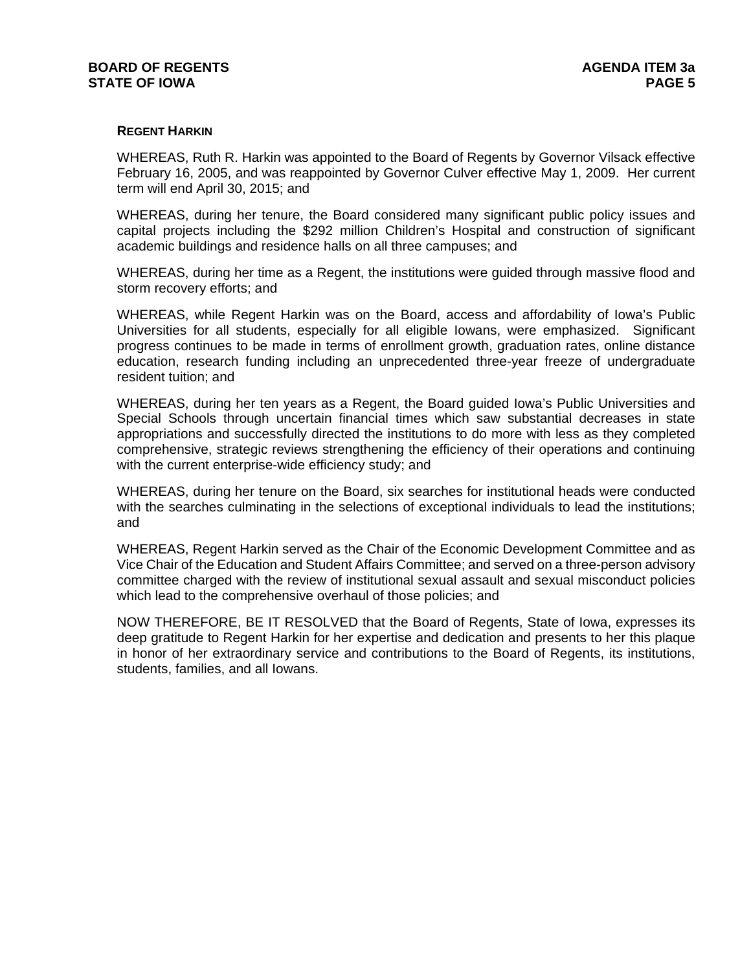### **REGENT HARKIN**

WHEREAS, Ruth R. Harkin was appointed to the Board of Regents by Governor Vilsack effective February 16, 2005, and was reappointed by Governor Culver effective May 1, 2009. Her current term will end April 30, 2015; and

WHEREAS, during her tenure, the Board considered many significant public policy issues and capital projects including the \$292 million Children's Hospital and construction of significant academic buildings and residence halls on all three campuses; and

WHEREAS, during her time as a Regent, the institutions were guided through massive flood and storm recovery efforts; and

WHEREAS, while Regent Harkin was on the Board, access and affordability of Iowa's Public Universities for all students, especially for all eligible Iowans, were emphasized. Significant progress continues to be made in terms of enrollment growth, graduation rates, online distance education, research funding including an unprecedented three-year freeze of undergraduate resident tuition; and

WHEREAS, during her ten years as a Regent, the Board guided Iowa's Public Universities and Special Schools through uncertain financial times which saw substantial decreases in state appropriations and successfully directed the institutions to do more with less as they completed comprehensive, strategic reviews strengthening the efficiency of their operations and continuing with the current enterprise-wide efficiency study; and

WHEREAS, during her tenure on the Board, six searches for institutional heads were conducted with the searches culminating in the selections of exceptional individuals to lead the institutions; and

WHEREAS, Regent Harkin served as the Chair of the Economic Development Committee and as Vice Chair of the Education and Student Affairs Committee; and served on a three-person advisory committee charged with the review of institutional sexual assault and sexual misconduct policies which lead to the comprehensive overhaul of those policies; and

NOW THEREFORE, BE IT RESOLVED that the Board of Regents, State of Iowa, expresses its deep gratitude to Regent Harkin for her expertise and dedication and presents to her this plaque in honor of her extraordinary service and contributions to the Board of Regents, its institutions, students, families, and all Iowans.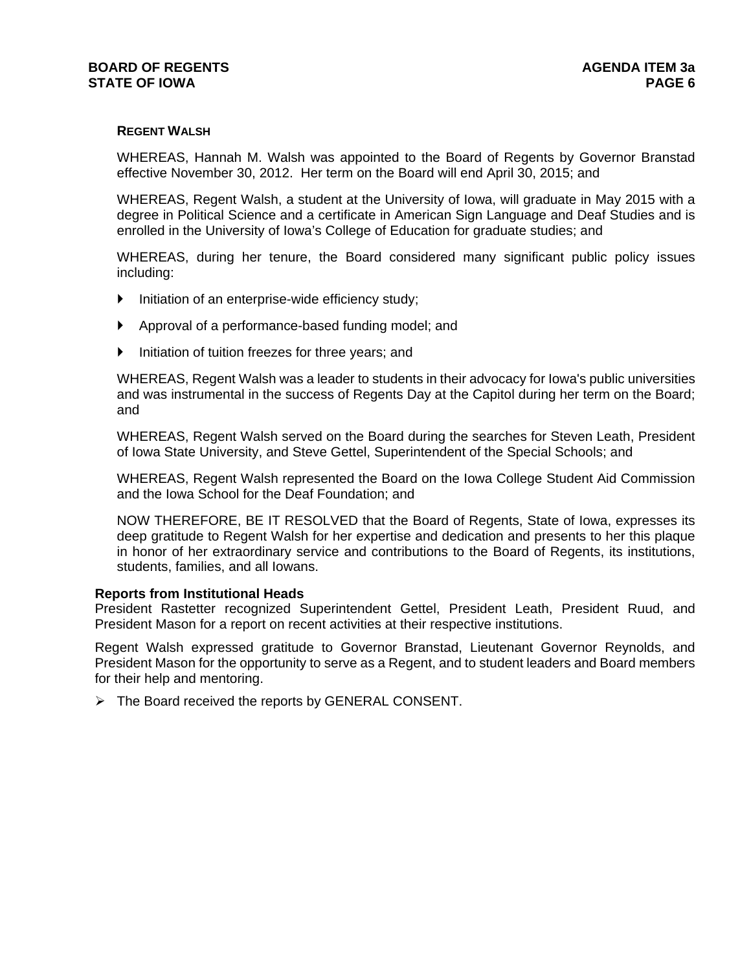### **REGENT WALSH**

WHEREAS, Hannah M. Walsh was appointed to the Board of Regents by Governor Branstad effective November 30, 2012. Her term on the Board will end April 30, 2015; and

WHEREAS, Regent Walsh, a student at the University of Iowa, will graduate in May 2015 with a degree in Political Science and a certificate in American Sign Language and Deaf Studies and is enrolled in the University of Iowa's College of Education for graduate studies; and

WHEREAS, during her tenure, the Board considered many significant public policy issues including:

- Initiation of an enterprise-wide efficiency study;
- Approval of a performance-based funding model; and
- Initiation of tuition freezes for three years; and

WHEREAS, Regent Walsh was a leader to students in their advocacy for Iowa's public universities and was instrumental in the success of Regents Day at the Capitol during her term on the Board; and

WHEREAS, Regent Walsh served on the Board during the searches for Steven Leath, President of Iowa State University, and Steve Gettel, Superintendent of the Special Schools; and

WHEREAS, Regent Walsh represented the Board on the Iowa College Student Aid Commission and the Iowa School for the Deaf Foundation; and

NOW THEREFORE, BE IT RESOLVED that the Board of Regents, State of Iowa, expresses its deep gratitude to Regent Walsh for her expertise and dedication and presents to her this plaque in honor of her extraordinary service and contributions to the Board of Regents, its institutions, students, families, and all Iowans.

#### **Reports from Institutional Heads**

President Rastetter recognized Superintendent Gettel, President Leath, President Ruud, and President Mason for a report on recent activities at their respective institutions.

Regent Walsh expressed gratitude to Governor Branstad, Lieutenant Governor Reynolds, and President Mason for the opportunity to serve as a Regent, and to student leaders and Board members for their help and mentoring.

 $\triangleright$  The Board received the reports by GENERAL CONSENT.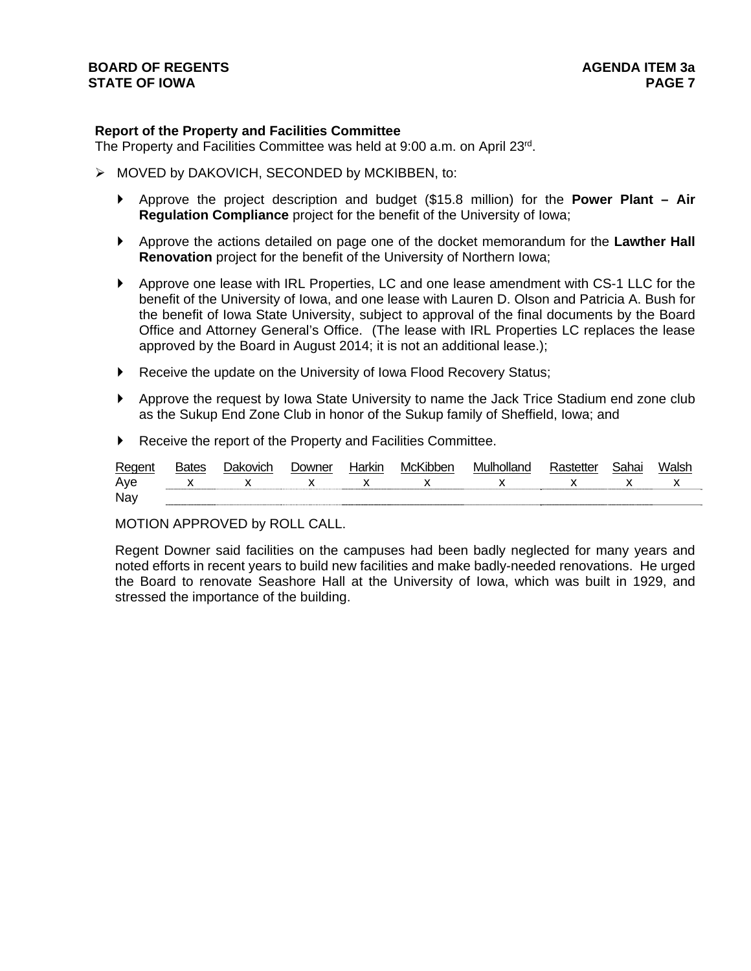### **Report of the Property and Facilities Committee**

The Property and Facilities Committee was held at 9:00 a.m. on April 23rd.

- > MOVED by DAKOVICH, SECONDED by MCKIBBEN, to:
	- Approve the project description and budget (\$15.8 million) for the **Power Plant Air Regulation Compliance** project for the benefit of the University of Iowa;
	- Approve the actions detailed on page one of the docket memorandum for the **Lawther Hall Renovation** project for the benefit of the University of Northern Iowa;
	- Approve one lease with IRL Properties, LC and one lease amendment with CS-1 LLC for the benefit of the University of Iowa, and one lease with Lauren D. Olson and Patricia A. Bush for the benefit of Iowa State University, subject to approval of the final documents by the Board Office and Attorney General's Office. (The lease with IRL Properties LC replaces the lease approved by the Board in August 2014; it is not an additional lease.);
	- Receive the update on the University of Iowa Flood Recovery Status;
	- Approve the request by Iowa State University to name the Jack Trice Stadium end zone club as the Sukup End Zone Club in honor of the Sukup family of Sheffield, Iowa; and
	- Receive the report of the Property and Facilities Committee.

| Regen. | Jakovicr     | 0owner       | Harkır       | -McK         | Mulholland<br>nc | ue           | ai id | Walsh |
|--------|--------------|--------------|--------------|--------------|------------------|--------------|-------|-------|
| Aye    | $\mathbf{x}$ | $\mathsf{X}$ | $\mathsf{X}$ | $\mathbf{x}$ | $\mathbf{x}$     | $\mathsf{x}$ |       |       |
| Nay    |              |              |              |              |                  |              |       |       |

MOTION APPROVED by ROLL CALL.

Regent Downer said facilities on the campuses had been badly neglected for many years and noted efforts in recent years to build new facilities and make badly-needed renovations. He urged the Board to renovate Seashore Hall at the University of Iowa, which was built in 1929, and stressed the importance of the building.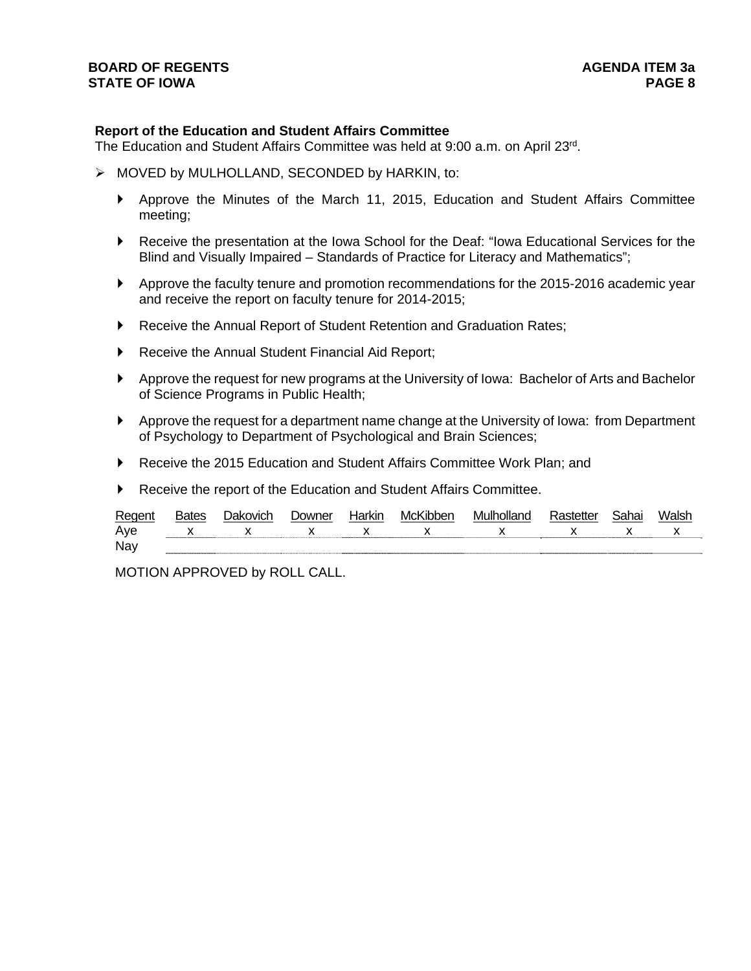#### **Report of the Education and Student Affairs Committee**

The Education and Student Affairs Committee was held at 9:00 a.m. on April 23rd.

- > MOVED by MULHOLLAND, SECONDED by HARKIN, to:
	- Approve the Minutes of the March 11, 2015, Education and Student Affairs Committee meeting;
	- Receive the presentation at the Iowa School for the Deaf: "Iowa Educational Services for the Blind and Visually Impaired – Standards of Practice for Literacy and Mathematics";
	- Approve the faculty tenure and promotion recommendations for the 2015-2016 academic year and receive the report on faculty tenure for 2014-2015;
	- ▶ Receive the Annual Report of Student Retention and Graduation Rates;
	- Receive the Annual Student Financial Aid Report;
	- Approve the request for new programs at the University of Iowa: Bachelor of Arts and Bachelor of Science Programs in Public Health;
	- Approve the request for a department name change at the University of Iowa: from Department of Psychology to Department of Psychological and Brain Sciences;
	- ▶ Receive the 2015 Education and Student Affairs Committee Work Plan: and
	- Receive the report of the Education and Student Affairs Committee.

| Reger | sates | $\sum_{n=1}^{\infty}$ | …∿l∩" | 'NC |  |  |
|-------|-------|-----------------------|-------|-----|--|--|
| Ave   |       |                       |       |     |  |  |
| Nay   |       |                       |       |     |  |  |

MOTION APPROVED by ROLL CALL.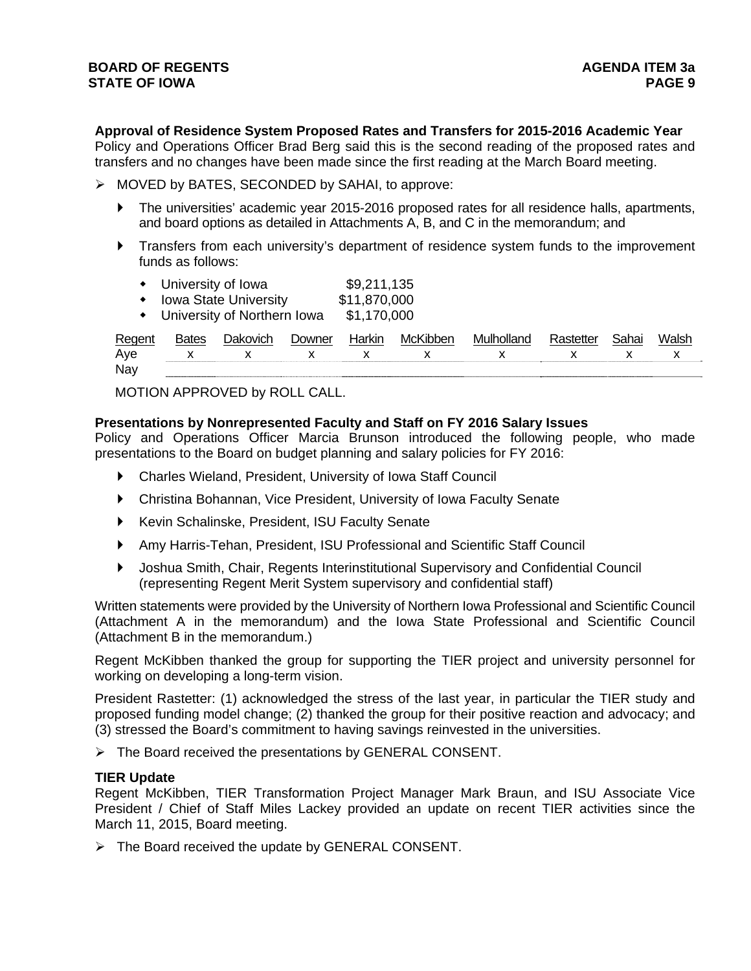**Approval of Residence System Proposed Rates and Transfers for 2015-2016 Academic Year**

Policy and Operations Officer Brad Berg said this is the second reading of the proposed rates and transfers and no changes have been made since the first reading at the March Board meeting.

- MOVED by BATES, SECONDED by SAHAI, to approve:
	- The universities' academic year 2015-2016 proposed rates for all residence halls, apartments, and board options as detailed in Attachments A, B, and C in the memorandum; and
	- Transfers from each university's department of residence system funds to the improvement funds as follows:
		- University of Iowa \$9,211,135
		- Iowa State University \$11,870,000
		- University of Northern Iowa \$1,170,000

| Regent | 3ates | .<br>Jakovich | <i>D</i> owner | Harkin | McKibben | Mulholland |  | Walsh |  |
|--------|-------|---------------|----------------|--------|----------|------------|--|-------|--|
| Aye    |       |               |                |        |          |            |  |       |  |
| Nay    |       |               |                |        |          |            |  |       |  |

MOTION APPROVED by ROLL CALL.

#### **Presentations by Nonrepresented Faculty and Staff on FY 2016 Salary Issues**

Policy and Operations Officer Marcia Brunson introduced the following people, who made presentations to the Board on budget planning and salary policies for FY 2016:

- Charles Wieland, President, University of Iowa Staff Council
- Christina Bohannan, Vice President, University of Iowa Faculty Senate
- Kevin Schalinske, President, ISU Faculty Senate
- Amy Harris-Tehan, President, ISU Professional and Scientific Staff Council
- Joshua Smith, Chair, Regents Interinstitutional Supervisory and Confidential Council (representing Regent Merit System supervisory and confidential staff)

Written statements were provided by the University of Northern Iowa Professional and Scientific Council (Attachment A in the memorandum) and the Iowa State Professional and Scientific Council (Attachment B in the memorandum.)

Regent McKibben thanked the group for supporting the TIER project and university personnel for working on developing a long-term vision.

President Rastetter: (1) acknowledged the stress of the last year, in particular the TIER study and proposed funding model change; (2) thanked the group for their positive reaction and advocacy; and (3) stressed the Board's commitment to having savings reinvested in the universities.

The Board received the presentations by GENERAL CONSENT.

#### **TIER Update**

Regent McKibben, TIER Transformation Project Manager Mark Braun, and ISU Associate Vice President / Chief of Staff Miles Lackey provided an update on recent TIER activities since the March 11, 2015, Board meeting.

 $\triangleright$  The Board received the update by GENERAL CONSENT.